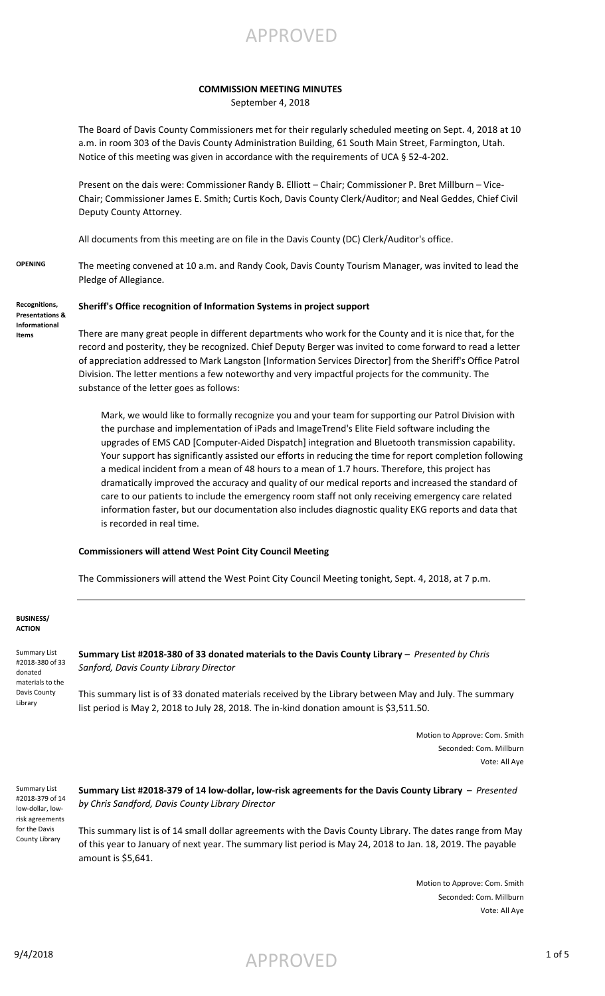

#### **COMMISSION MEETING MINUTES** September 4, 2018

The Board of Davis County Commissioners met for their regularly scheduled meeting on Sept. 4, 2018 at 10 a.m. in room 303 of the Davis County Administration Building, 61 South Main Street, Farmington, Utah. Notice of this meeting was given in accordance with the requirements of UCA § 52-4-202.

Present on the dais were: Commissioner Randy B. Elliott – Chair; Commissioner P. Bret Millburn – Vice-Chair; Commissioner James E. Smith; Curtis Koch, Davis County Clerk/Auditor; and Neal Geddes, Chief Civil Deputy County Attorney.

All documents from this meeting are on file in the Davis County (DC) Clerk/Auditor's office.

**OPENING** The meeting convened at 10 a.m. and Randy Cook, Davis County Tourism Manager, was invited to lead the Pledge of Allegiance.

**Recognitions, Presentations & Informational Items**

### **Sheriff's Office recognition of Information Systems in project support**

There are many great people in different departments who work for the County and it is nice that, for the record and posterity, they be recognized. Chief Deputy Berger was invited to come forward to read a letter of appreciation addressed to Mark Langston [Information Services Director] from the Sheriff's Office Patrol Division. The letter mentions a few noteworthy and very impactful projects for the community. The substance of the letter goes as follows:

Mark, we would like to formally recognize you and your team for supporting our Patrol Division with the purchase and implementation of iPads and ImageTrend's Elite Field software including the upgrades of EMS CAD [Computer-Aided Dispatch] integration and Bluetooth transmission capability. Your support has significantly assisted our efforts in reducing the time for report completion following a medical incident from a mean of 48 hours to a mean of 1.7 hours. Therefore, this project has dramatically improved the accuracy and quality of our medical reports and increased the standard of care to our patients to include the emergency room staff not only receiving emergency care related information faster, but our documentation also includes diagnostic quality EKG reports and data that is recorded in real time.

#### **Commissioners will attend West Point City Council Meeting**

The Commissioners will attend the West Point City Council Meeting tonight, Sept. 4, 2018, at 7 p.m.

#### **BUSINESS/ ACTION**

Summary List #2018-380 of 33 donated materials to the Davis County Library

Summary List #2018-380 of 33 donated materials to the Davis County Library - Presented by Chris *Sanford, Davis County Library Director*

This summary list is of 33 donated materials received by the Library between May and July. The summary list period is May 2, 2018 to July 28, 2018. The in-kind donation amount is \$3,511.50.

> Motion to Approve: Com. Smith Seconded: Com. Millburn Vote: All Aye

Summary List #2018-379 of 14 low-dollar, lowrisk agreements for the Davis County Library

**Summary List #2018-379 of 14 low-dollar, low-risk agreements for the Davis County Library** – *Presented by Chris Sandford, Davis County Library Director*

This summary list is of 14 small dollar agreements with the Davis County Library. The dates range from May of this year to January of next year. The summary list period is May 24, 2018 to Jan. 18, 2019. The payable amount is \$5,641.

> Motion to Approve: Com. Smith Seconded: Com. Millburn Vote: All Aye

 $\mathsf{APPROVED}$  1 of 5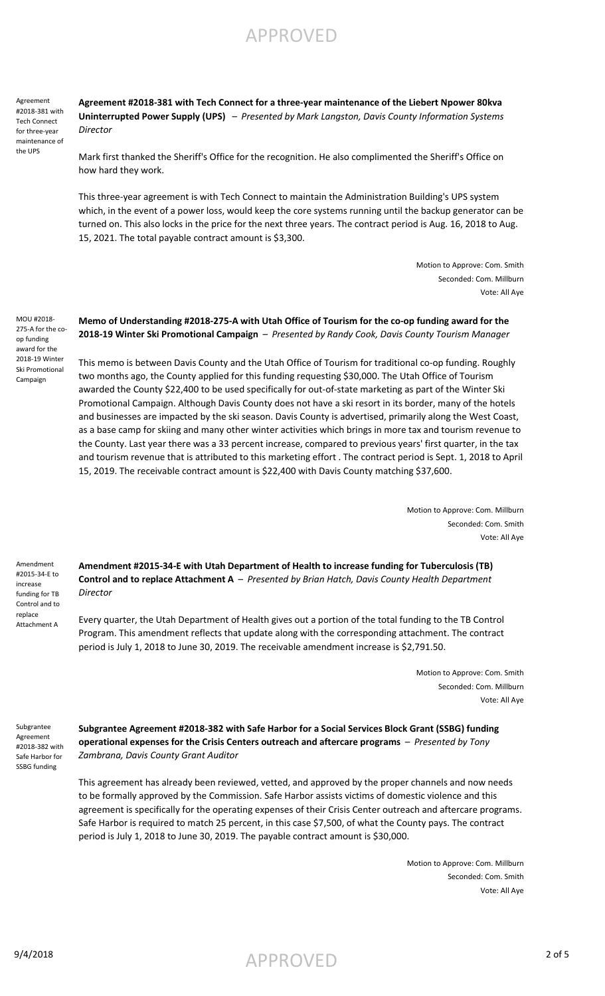Agreement #2018-381 with Tech Connect for three-year maintenance of the UPS

**Agreement #2018-381 with Tech Connect for a three-year maintenance of the Liebert Npower 80kva Uninterrupted Power Supply (UPS)** – *Presented by Mark Langston, Davis County Information Systems Director*

Mark first thanked the Sheriff's Office for the recognition. He also complimented the Sheriff's Office on how hard they work.

This three-year agreement is with Tech Connect to maintain the Administration Building's UPS system which, in the event of a power loss, would keep the core systems running until the backup generator can be turned on. This also locks in the price for the next three years. The contract period is Aug. 16, 2018 to Aug. 15, 2021. The total payable contract amount is \$3,300.

> Motion to Approve: Com. Smith Seconded: Com. Millburn Vote: All Aye

MOU #2018- 275-A for the coop funding award for the 2018-19 Winter Ski Promotional Campaign

**Memo of Understanding #2018-275-A with Utah Office of Tourism for the co-op funding award for the 2018-19 Winter Ski Promotional Campaign** – *Presented by Randy Cook, Davis County Tourism Manager*

This memo is between Davis County and the Utah Office of Tourism for traditional co-op funding. Roughly two months ago, the County applied for this funding requesting \$30,000. The Utah Office of Tourism awarded the County \$22,400 to be used specifically for out-of-state marketing as part of the Winter Ski Promotional Campaign. Although Davis County does not have a ski resort in its border, many of the hotels and businesses are impacted by the ski season. Davis County is advertised, primarily along the West Coast, as a base camp for skiing and many other winter activities which brings in more tax and tourism revenue to the County. Last year there was a 33 percent increase, compared to previous years' first quarter, in the tax and tourism revenue that is attributed to this marketing effort . The contract period is Sept. 1, 2018 to April 15, 2019. The receivable contract amount is \$22,400 with Davis County matching \$37,600.

> Motion to Approve: Com. Millburn Seconded: Com. Smith Vote: All Aye

Amendment #2015-34-E to increase funding for TB Control and to replace Attachment A

**Amendment #2015-34-E with Utah Department of Health to increase funding for Tuberculosis (TB) Control and to replace Attachment A** – *Presented by Brian Hatch, Davis County Health Department Director*

Every quarter, the Utah Department of Health gives out a portion of the total funding to the TB Control Program. This amendment reflects that update along with the corresponding attachment. The contract period is July 1, 2018 to June 30, 2019. The receivable amendment increase is \$2,791.50.

> Motion to Approve: Com. Smith Seconded: Com. Millburn Vote: All Aye

Subgrantee Agreement #2018-382 with Safe Harbor for SSBG funding

**Subgrantee Agreement #2018-382 with Safe Harbor for a Social Services Block Grant (SSBG) funding operational expenses for the Crisis Centers outreach and aftercare programs** – *Presented by Tony Zambrana, Davis County Grant Auditor*

This agreement has already been reviewed, vetted, and approved by the proper channels and now needs to be formally approved by the Commission. Safe Harbor assists victims of domestic violence and this agreement is specifically for the operating expenses of their Crisis Center outreach and aftercare programs. Safe Harbor is required to match 25 percent, in this case \$7,500, of what the County pays. The contract period is July 1, 2018 to June 30, 2019. The payable contract amount is \$30,000.

> Motion to Approve: Com. Millburn Seconded: Com. Smith Vote: All Aye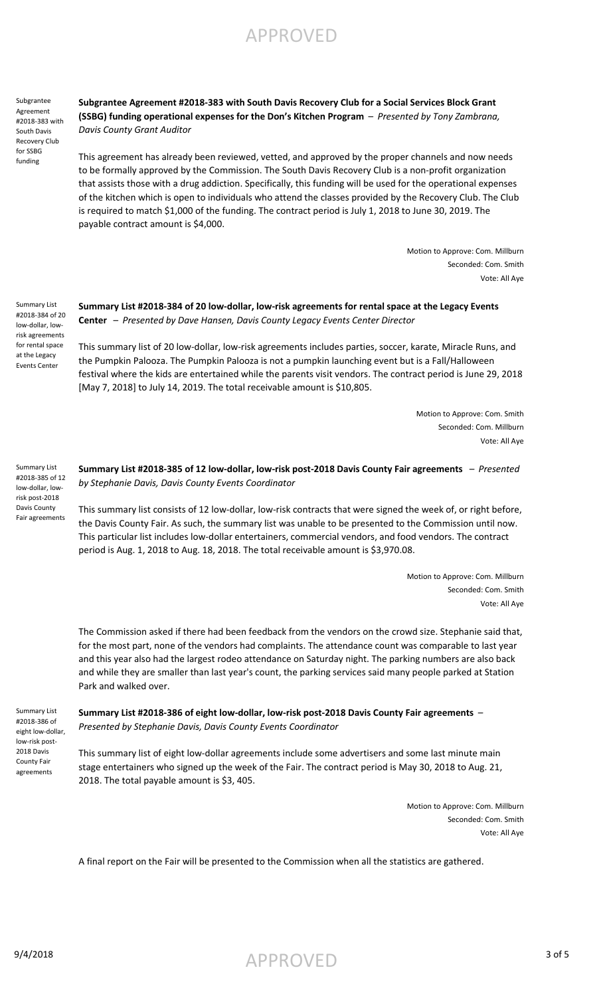Subgrantee Agreement #2018-383 with South Davis Recovery Club for SSBG funding

**Subgrantee Agreement #2018-383 with South Davis Recovery Club for a Social Services Block Grant (SSBG) funding operational expenses for the Don's Kitchen Program** – *Presented by Tony Zambrana, Davis County Grant Auditor*

This agreement has already been reviewed, vetted, and approved by the proper channels and now needs to be formally approved by the Commission. The South Davis Recovery Club is a non-profit organization that assists those with a drug addiction. Specifically, this funding will be used for the operational expenses of the kitchen which is open to individuals who attend the classes provided by the Recovery Club. The Club is required to match \$1,000 of the funding. The contract period is July 1, 2018 to June 30, 2019. The payable contract amount is \$4,000.

> Motion to Approve: Com. Millburn Seconded: Com. Smith Vote: All Aye

Summary List #2018-384 of 20 low-dollar, lowrisk agreements for rental space at the Legacy Events Center

### **Summary List #2018-384 of 20 low-dollar, low-risk agreements for rental space at the Legacy Events Center** – *Presented by Dave Hansen, Davis County Legacy Events Center Director*

This summary list of 20 low-dollar, low-risk agreements includes parties, soccer, karate, Miracle Runs, and the Pumpkin Palooza. The Pumpkin Palooza is not a pumpkin launching event but is a Fall/Halloween festival where the kids are entertained while the parents visit vendors. The contract period is June 29, 2018 [May 7, 2018] to July 14, 2019. The total receivable amount is \$10,805.

> Motion to Approve: Com. Smith Seconded: Com. Millburn Vote: All Aye

Summary List #2018-385 of 12 low-dollar, lowrisk post-2018 Davis County Fair agreements

**Summary List #2018-385 of 12 low-dollar, low-risk post-2018 Davis County Fair agreements** – *Presented by Stephanie Davis, Davis County Events Coordinator*

This summary list consists of 12 low-dollar, low-risk contracts that were signed the week of, or right before, the Davis County Fair. As such, the summary list was unable to be presented to the Commission until now. This particular list includes low-dollar entertainers, commercial vendors, and food vendors. The contract period is Aug. 1, 2018 to Aug. 18, 2018. The total receivable amount is \$3,970.08.

> Motion to Approve: Com. Millburn Seconded: Com. Smith Vote: All Aye

The Commission asked if there had been feedback from the vendors on the crowd size. Stephanie said that, for the most part, none of the vendors had complaints. The attendance count was comparable to last year and this year also had the largest rodeo attendance on Saturday night. The parking numbers are also back and while they are smaller than last year's count, the parking services said many people parked at Station Park and walked over.

Summary List #2018-386 of eight low-dollar, low-risk post-2018 Davis County Fair agreements

#### **Summary List #2018-386 of eight low-dollar, low-risk post-2018 Davis County Fair agreements** – *Presented by Stephanie Davis, Davis County Events Coordinator*

This summary list of eight low-dollar agreements include some advertisers and some last minute main stage entertainers who signed up the week of the Fair. The contract period is May 30, 2018 to Aug. 21, 2018. The total payable amount is \$3, 405.

> Motion to Approve: Com. Millburn Seconded: Com. Smith Vote: All Aye

A final report on the Fair will be presented to the Commission when all the statistics are gathered.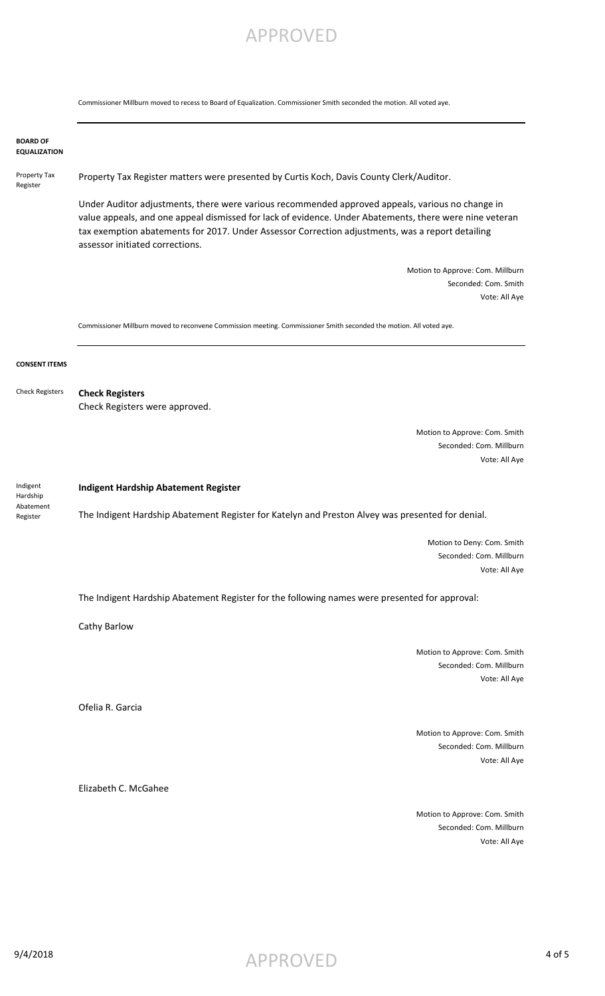Commissioner Millburn moved to recess to Board of Equalization. Commissioner Smith seconded the motion. All voted aye.

|                                               | COMMISSIONER TWINDUM MOVEU TO FECESS TO DOBTU OF EQUARZATION. COMMISSIONER SMITHT SECONDEU THE MOTION. AN VOTEU AVE                                                                                                                                                                                                                                |
|-----------------------------------------------|----------------------------------------------------------------------------------------------------------------------------------------------------------------------------------------------------------------------------------------------------------------------------------------------------------------------------------------------------|
| <b>BOARD OF</b><br><b>EQUALIZATION</b>        |                                                                                                                                                                                                                                                                                                                                                    |
| Property Tax<br>Register                      | Property Tax Register matters were presented by Curtis Koch, Davis County Clerk/Auditor.                                                                                                                                                                                                                                                           |
|                                               | Under Auditor adjustments, there were various recommended approved appeals, various no change in<br>value appeals, and one appeal dismissed for lack of evidence. Under Abatements, there were nine veteran<br>tax exemption abatements for 2017. Under Assessor Correction adjustments, was a report detailing<br>assessor initiated corrections. |
|                                               | Motion to Approve: Com. Millburn                                                                                                                                                                                                                                                                                                                   |
|                                               | Seconded: Com. Smith                                                                                                                                                                                                                                                                                                                               |
|                                               | Vote: All Aye                                                                                                                                                                                                                                                                                                                                      |
|                                               | Commissioner Millburn moved to reconvene Commission meeting. Commissioner Smith seconded the motion. All voted aye.                                                                                                                                                                                                                                |
| <b>CONSENT ITEMS</b>                          |                                                                                                                                                                                                                                                                                                                                                    |
| <b>Check Registers</b>                        | <b>Check Registers</b>                                                                                                                                                                                                                                                                                                                             |
|                                               | Check Registers were approved.                                                                                                                                                                                                                                                                                                                     |
|                                               | Motion to Approve: Com. Smith                                                                                                                                                                                                                                                                                                                      |
|                                               | Seconded: Com. Millburn                                                                                                                                                                                                                                                                                                                            |
|                                               | Vote: All Aye                                                                                                                                                                                                                                                                                                                                      |
| Indigent<br>Hardship<br>Abatement<br>Register | <b>Indigent Hardship Abatement Register</b>                                                                                                                                                                                                                                                                                                        |
|                                               | The Indigent Hardship Abatement Register for Katelyn and Preston Alvey was presented for denial.                                                                                                                                                                                                                                                   |
|                                               | Motion to Deny: Com. Smith<br>Seconded: Com. Millburn                                                                                                                                                                                                                                                                                              |
|                                               | Vote: All Aye                                                                                                                                                                                                                                                                                                                                      |
|                                               | The Indigent Hardship Abatement Register for the following names were presented for approval:                                                                                                                                                                                                                                                      |
|                                               | Cathy Barlow                                                                                                                                                                                                                                                                                                                                       |
|                                               | Motion to Approve: Com. Smith                                                                                                                                                                                                                                                                                                                      |
|                                               | Seconded: Com. Millburn                                                                                                                                                                                                                                                                                                                            |
|                                               | Vote: All Aye                                                                                                                                                                                                                                                                                                                                      |
|                                               | Ofelia R. Garcia                                                                                                                                                                                                                                                                                                                                   |
|                                               |                                                                                                                                                                                                                                                                                                                                                    |
|                                               | Motion to Approve: Com. Smith<br>Seconded: Com. Millburn                                                                                                                                                                                                                                                                                           |
|                                               | Vote: All Aye                                                                                                                                                                                                                                                                                                                                      |
|                                               | Elizabeth C. McGahee                                                                                                                                                                                                                                                                                                                               |
|                                               |                                                                                                                                                                                                                                                                                                                                                    |
|                                               | Motion to Approve: Com. Smith                                                                                                                                                                                                                                                                                                                      |
|                                               | Seconded: Com. Millburn<br>Vote: All Aye                                                                                                                                                                                                                                                                                                           |
|                                               |                                                                                                                                                                                                                                                                                                                                                    |